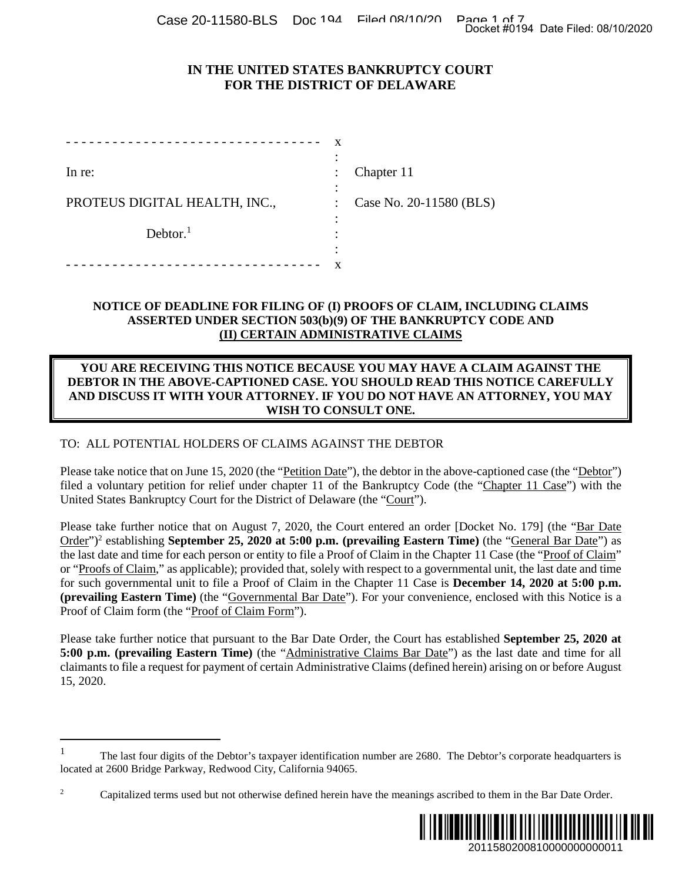Case 20-11580-BLS Doc 194 Filed 08/10/20 Page 1 of 7<br>Docket #0194 Date Filed: 08/10/2020

# **IN THE UNITED STATES BANKRUPTCY COURT FOR THE DISTRICT OF DELAWARE**

|                               | х |                         |
|-------------------------------|---|-------------------------|
| In re:                        |   | Chapter 11              |
| PROTEUS DIGITAL HEALTH, INC., |   | Case No. 20-11580 (BLS) |
| Dektor. <sup>1</sup>          |   |                         |
|                               |   |                         |

### **NOTICE OF DEADLINE FOR FILING OF (I) PROOFS OF CLAIM, INCLUDING CLAIMS ASSERTED UNDER SECTION 503(b)(9) OF THE BANKRUPTCY CODE AND (II) CERTAIN ADMINISTRATIVE CLAIMS**

#### **YOU ARE RECEIVING THIS NOTICE BECAUSE YOU MAY HAVE A CLAIM AGAINST THE DEBTOR IN THE ABOVE-CAPTIONED CASE. YOU SHOULD READ THIS NOTICE CAREFULLY AND DISCUSS IT WITH YOUR ATTORNEY. IF YOU DO NOT HAVE AN ATTORNEY, YOU MAY WISH TO CONSULT ONE.**

## TO: ALL POTENTIAL HOLDERS OF CLAIMS AGAINST THE DEBTOR

Please take notice that on June 15, 2020 (the "<u>Petition Date</u>"), the debtor in the above-captioned case (the "<u>Debtor</u>") filed a voluntary petition for relief under chapter 11 of the Bankruptcy Code (the "Chapter 11 Case") with the United States Bankruptcy Court for the District of Delaware (the "Court").

Please take further notice that on August 7, 2020, the Court entered an order [Docket No. 179] (the "Bar Date Order")<sup>2</sup> establishing **September 25, 2020 at 5:00 p.m. (prevailing Eastern Time)** (the "General Bar Date") as the last date and time for each person or entity to file a Proof of Claim in the Chapter 11 Case (the "Proof of Claim" or "Proofs of Claim," as applicable); provided that, solely with respect to a governmental unit, the last date and time for such governmental unit to file a Proof of Claim in the Chapter 11 Case is **December 14, 2020 at 5:00 p.m. (prevailing Eastern Time)** (the "Governmental Bar Date"). For your convenience, enclosed with this Notice is a Proof of Claim form (the "Proof of Claim Form"). Docket #0194 Date Filed: 08/10/2020<br>
URT<br>
URT<br>
URT<br>
CLAIM AGAINST THE<br>
CLAIM AGAINST THE<br>
CLAIM AGAINST THE<br>
EIIS NOTICE CAREFULLY<br>
N ATTORNEY, YOU MAY<br>
ve-captioned case (the "<u>Debtor</u>")<br>
ve "Chapter 11 Case") with the<br>
b

Please take further notice that pursuant to the Bar Date Order, the Court has established **September 25, 2020 at 5:00 p.m. (prevailing Eastern Time)** (the "Administrative Claims Bar Date") as the last date and time for all claimants to file a request for payment of certain Administrative Claims (defined herein) arising on or before August 15, 2020.

<sup>&</sup>lt;sup>2</sup> Capitalized terms used but not otherwise defined herein have the meanings ascribed to them in the Bar Date Order.



<sup>1</sup> The last four digits of the Debtor's taxpayer identification number are 2680. The Debtor's corporate headquarters is located at 2600 Bridge Parkway, Redwood City, California 94065.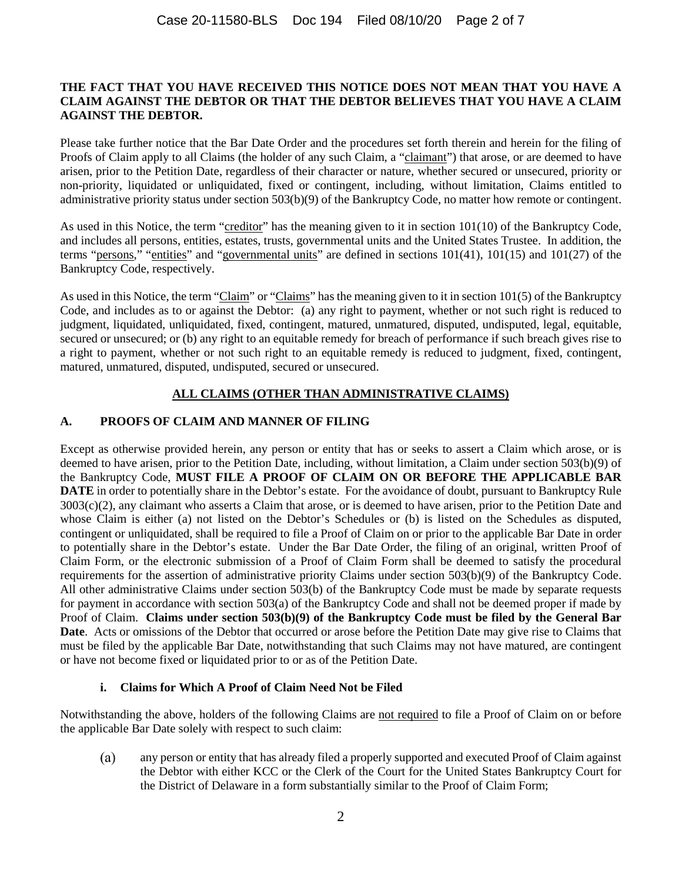#### **THE FACT THAT YOU HAVE RECEIVED THIS NOTICE DOES NOT MEAN THAT YOU HAVE A CLAIM AGAINST THE DEBTOR OR THAT THE DEBTOR BELIEVES THAT YOU HAVE A CLAIM AGAINST THE DEBTOR.**

Please take further notice that the Bar Date Order and the procedures set forth therein and herein for the filing of Proofs of Claim apply to all Claims (the holder of any such Claim, a "claimant") that arose, or are deemed to have arisen, prior to the Petition Date, regardless of their character or nature, whether secured or unsecured, priority or non-priority, liquidated or unliquidated, fixed or contingent, including, without limitation, Claims entitled to administrative priority status under section 503(b)(9) of the Bankruptcy Code, no matter how remote or contingent.

As used in this Notice, the term "creditor" has the meaning given to it in section 101(10) of the Bankruptcy Code, and includes all persons, entities, estates, trusts, governmental units and the United States Trustee. In addition, the terms "persons," "entities" and "governmental units" are defined in sections 101(41), 101(15) and 101(27) of the Bankruptcy Code, respectively.

As used in this Notice, the term "Claim" or "Claims" has the meaning given to it in section 101(5) of the Bankruptcy Code, and includes as to or against the Debtor: (a) any right to payment, whether or not such right is reduced to judgment, liquidated, unliquidated, fixed, contingent, matured, unmatured, disputed, undisputed, legal, equitable, secured or unsecured; or (b) any right to an equitable remedy for breach of performance if such breach gives rise to a right to payment, whether or not such right to an equitable remedy is reduced to judgment, fixed, contingent, matured, unmatured, disputed, undisputed, secured or unsecured.

## **ALL CLAIMS (OTHER THAN ADMINISTRATIVE CLAIMS)**

## **A. PROOFS OF CLAIM AND MANNER OF FILING**

Except as otherwise provided herein, any person or entity that has or seeks to assert a Claim which arose, or is deemed to have arisen, prior to the Petition Date, including, without limitation, a Claim under section 503(b)(9) of the Bankruptcy Code, **MUST FILE A PROOF OF CLAIM ON OR BEFORE THE APPLICABLE BAR DATE** in order to potentially share in the Debtor's estate. For the avoidance of doubt, pursuant to Bankruptcy Rule 3003(c)(2), any claimant who asserts a Claim that arose, or is deemed to have arisen, prior to the Petition Date and whose Claim is either (a) not listed on the Debtor's Schedules or (b) is listed on the Schedules as disputed, contingent or unliquidated, shall be required to file a Proof of Claim on or prior to the applicable Bar Date in order to potentially share in the Debtor's estate. Under the Bar Date Order, the filing of an original, written Proof of Claim Form, or the electronic submission of a Proof of Claim Form shall be deemed to satisfy the procedural requirements for the assertion of administrative priority Claims under section 503(b)(9) of the Bankruptcy Code. All other administrative Claims under section 503(b) of the Bankruptcy Code must be made by separate requests for payment in accordance with section 503(a) of the Bankruptcy Code and shall not be deemed proper if made by Proof of Claim. **Claims under section 503(b)(9) of the Bankruptcy Code must be filed by the General Bar Date**. Acts or omissions of the Debtor that occurred or arose before the Petition Date may give rise to Claims that must be filed by the applicable Bar Date, notwithstanding that such Claims may not have matured, are contingent or have not become fixed or liquidated prior to or as of the Petition Date.

## **i. Claims for Which A Proof of Claim Need Not be Filed**

Notwithstanding the above, holders of the following Claims are not required to file a Proof of Claim on or before the applicable Bar Date solely with respect to such claim:

 $(a)$ any person or entity that has already filed a properly supported and executed Proof of Claim against the Debtor with either KCC or the Clerk of the Court for the United States Bankruptcy Court for the District of Delaware in a form substantially similar to the Proof of Claim Form;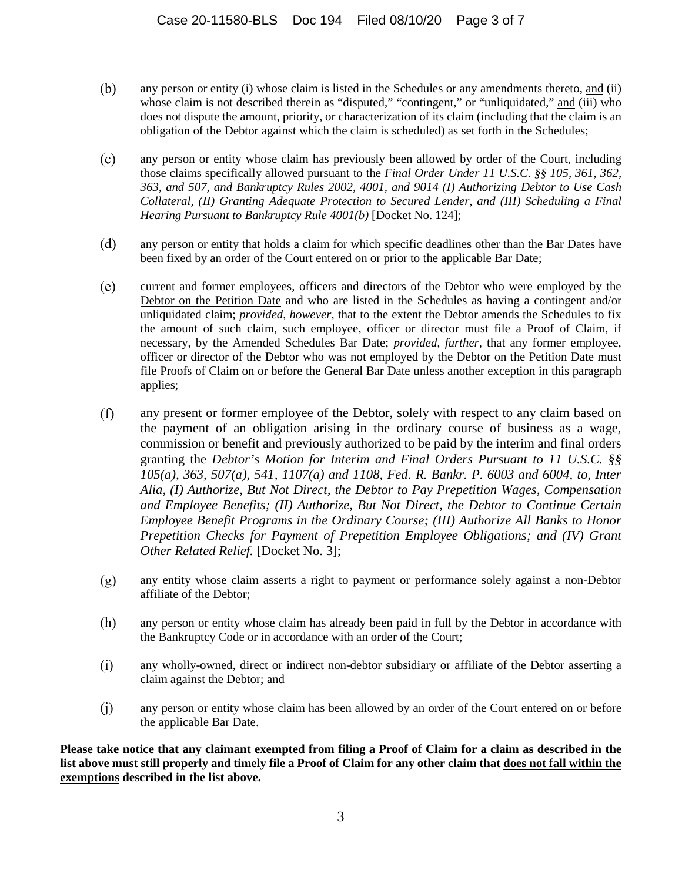- (b) any person or entity (i) whose claim is listed in the Schedules or any amendments thereto, and (ii) whose claim is not described therein as "disputed," "contingent," or "unliquidated," and (iii) who does not dispute the amount, priority, or characterization of its claim (including that the claim is an obligation of the Debtor against which the claim is scheduled) as set forth in the Schedules;
- $(c)$ any person or entity whose claim has previously been allowed by order of the Court, including those claims specifically allowed pursuant to the *Final Order Under 11 U.S.C. §§ 105, 361, 362, 363, and 507, and Bankruptcy Rules 2002, 4001, and 9014 (I) Authorizing Debtor to Use Cash Collateral, (II) Granting Adequate Protection to Secured Lender, and (III) Scheduling a Final Hearing Pursuant to Bankruptcy Rule 4001(b)* [Docket No. 124];
- $(d)$ any person or entity that holds a claim for which specific deadlines other than the Bar Dates have been fixed by an order of the Court entered on or prior to the applicable Bar Date;
- $(e)$ current and former employees, officers and directors of the Debtor who were employed by the Debtor on the Petition Date and who are listed in the Schedules as having a contingent and/or unliquidated claim; *provided*, *however*, that to the extent the Debtor amends the Schedules to fix the amount of such claim, such employee, officer or director must file a Proof of Claim, if necessary, by the Amended Schedules Bar Date; *provided, further*, that any former employee, officer or director of the Debtor who was not employed by the Debtor on the Petition Date must file Proofs of Claim on or before the General Bar Date unless another exception in this paragraph applies;
- $(f)$ any present or former employee of the Debtor, solely with respect to any claim based on the payment of an obligation arising in the ordinary course of business as a wage, commission or benefit and previously authorized to be paid by the interim and final orders granting the *Debtor's Motion for Interim and Final Orders Pursuant to 11 U.S.C. §§ 105(a), 363, 507(a), 541, 1107(a) and 1108, Fed. R. Bankr. P. 6003 and 6004, to, Inter Alia, (I) Authorize, But Not Direct, the Debtor to Pay Prepetition Wages, Compensation and Employee Benefits; (II) Authorize, But Not Direct, the Debtor to Continue Certain Employee Benefit Programs in the Ordinary Course; (III) Authorize All Banks to Honor Prepetition Checks for Payment of Prepetition Employee Obligations; and (IV) Grant Other Related Relief.* [Docket No. 3];
- $(g)$ any entity whose claim asserts a right to payment or performance solely against a non-Debtor affiliate of the Debtor;
- $(h)$ any person or entity whose claim has already been paid in full by the Debtor in accordance with the Bankruptcy Code or in accordance with an order of the Court;
- $(i)$ any wholly-owned, direct or indirect non-debtor subsidiary or affiliate of the Debtor asserting a claim against the Debtor; and
- $(j)$ any person or entity whose claim has been allowed by an order of the Court entered on or before the applicable Bar Date.

**Please take notice that any claimant exempted from filing a Proof of Claim for a claim as described in the list above must still properly and timely file a Proof of Claim for any other claim that does not fall within the exemptions described in the list above.**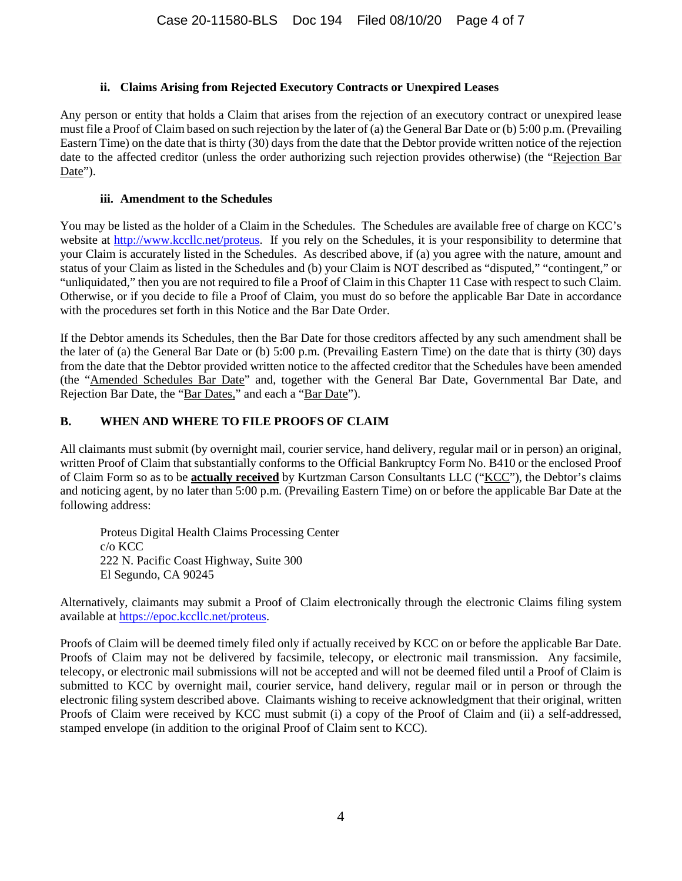### **ii. Claims Arising from Rejected Executory Contracts or Unexpired Leases**

Any person or entity that holds a Claim that arises from the rejection of an executory contract or unexpired lease must file a Proof of Claim based on such rejection by the later of (a) the General Bar Date or (b) 5:00 p.m. (Prevailing Eastern Time) on the date that is thirty (30) days from the date that the Debtor provide written notice of the rejection date to the affected creditor (unless the order authorizing such rejection provides otherwise) (the "Rejection Bar Date").

### **iii. Amendment to the Schedules**

You may be listed as the holder of a Claim in the Schedules. The Schedules are available free of charge on KCC's website at http://www.kccllc.net/proteus. If you rely on the Schedules, it is your responsibility to determine that your Claim is accurately listed in the Schedules. As described above, if (a) you agree with the nature, amount and status of your Claim as listed in the Schedules and (b) your Claim is NOT described as "disputed," "contingent," or "unliquidated," then you are not required to file a Proof of Claim in this Chapter 11 Case with respect to such Claim. Otherwise, or if you decide to file a Proof of Claim, you must do so before the applicable Bar Date in accordance with the procedures set forth in this Notice and the Bar Date Order.

If the Debtor amends its Schedules, then the Bar Date for those creditors affected by any such amendment shall be the later of (a) the General Bar Date or (b) 5:00 p.m. (Prevailing Eastern Time) on the date that is thirty (30) days from the date that the Debtor provided written notice to the affected creditor that the Schedules have been amended (the "Amended Schedules Bar Date" and, together with the General Bar Date, Governmental Bar Date, and Rejection Bar Date, the "Bar Dates," and each a "Bar Date").

## **B. WHEN AND WHERE TO FILE PROOFS OF CLAIM**

All claimants must submit (by overnight mail, courier service, hand delivery, regular mail or in person) an original, written Proof of Claim that substantially conforms to the Official Bankruptcy Form No. B410 or the enclosed Proof of Claim Form so as to be **actually received** by Kurtzman Carson Consultants LLC ("KCC"), the Debtor's claims and noticing agent, by no later than 5:00 p.m. (Prevailing Eastern Time) on or before the applicable Bar Date at the following address:

Proteus Digital Health Claims Processing Center c/o KCC 222 N. Pacific Coast Highway, Suite 300 El Segundo, CA 90245

Alternatively, claimants may submit a Proof of Claim electronically through the electronic Claims filing system available at https://epoc.kccllc.net/proteus.

Proofs of Claim will be deemed timely filed only if actually received by KCC on or before the applicable Bar Date. Proofs of Claim may not be delivered by facsimile, telecopy, or electronic mail transmission. Any facsimile, telecopy, or electronic mail submissions will not be accepted and will not be deemed filed until a Proof of Claim is submitted to KCC by overnight mail, courier service, hand delivery, regular mail or in person or through the electronic filing system described above. Claimants wishing to receive acknowledgment that their original, written Proofs of Claim were received by KCC must submit (i) a copy of the Proof of Claim and (ii) a self-addressed, stamped envelope (in addition to the original Proof of Claim sent to KCC).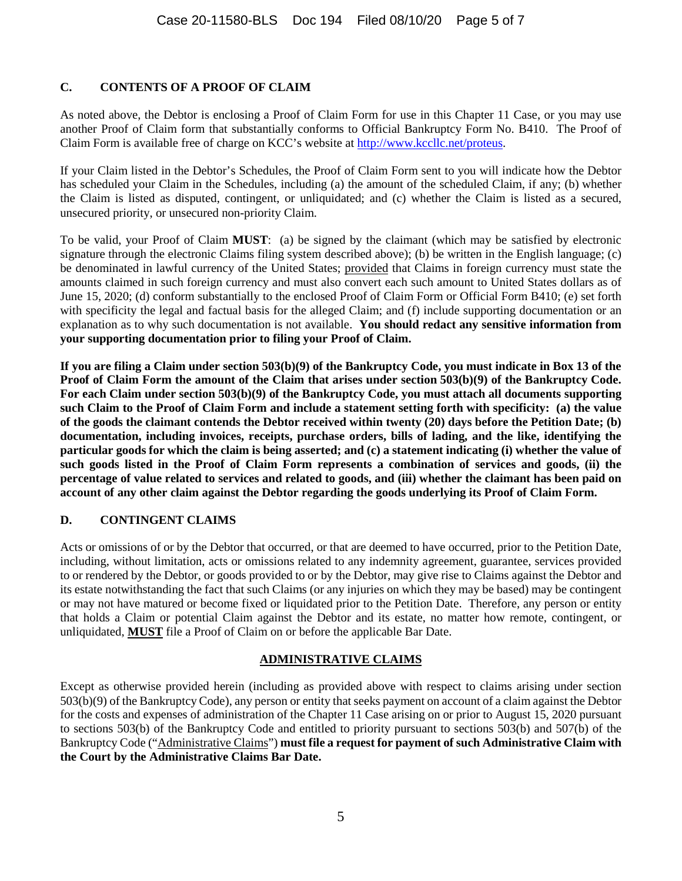# **C. CONTENTS OF A PROOF OF CLAIM**

As noted above, the Debtor is enclosing a Proof of Claim Form for use in this Chapter 11 Case, or you may use another Proof of Claim form that substantially conforms to Official Bankruptcy Form No. B410. The Proof of Claim Form is available free of charge on KCC's website at http://www.kccllc.net/proteus.

If your Claim listed in the Debtor's Schedules, the Proof of Claim Form sent to you will indicate how the Debtor has scheduled your Claim in the Schedules, including (a) the amount of the scheduled Claim, if any; (b) whether the Claim is listed as disputed, contingent, or unliquidated; and (c) whether the Claim is listed as a secured, unsecured priority, or unsecured non-priority Claim.

To be valid, your Proof of Claim **MUST**: (a) be signed by the claimant (which may be satisfied by electronic signature through the electronic Claims filing system described above); (b) be written in the English language; (c) be denominated in lawful currency of the United States; provided that Claims in foreign currency must state the amounts claimed in such foreign currency and must also convert each such amount to United States dollars as of June 15, 2020; (d) conform substantially to the enclosed Proof of Claim Form or Official Form B410; (e) set forth with specificity the legal and factual basis for the alleged Claim; and (f) include supporting documentation or an explanation as to why such documentation is not available. **You should redact any sensitive information from your supporting documentation prior to filing your Proof of Claim.** 

**If you are filing a Claim under section 503(b)(9) of the Bankruptcy Code, you must indicate in Box 13 of the Proof of Claim Form the amount of the Claim that arises under section 503(b)(9) of the Bankruptcy Code. For each Claim under section 503(b)(9) of the Bankruptcy Code, you must attach all documents supporting such Claim to the Proof of Claim Form and include a statement setting forth with specificity: (a) the value of the goods the claimant contends the Debtor received within twenty (20) days before the Petition Date; (b) documentation, including invoices, receipts, purchase orders, bills of lading, and the like, identifying the particular goods for which the claim is being asserted; and (c) a statement indicating (i) whether the value of such goods listed in the Proof of Claim Form represents a combination of services and goods, (ii) the percentage of value related to services and related to goods, and (iii) whether the claimant has been paid on account of any other claim against the Debtor regarding the goods underlying its Proof of Claim Form.** 

## **D. CONTINGENT CLAIMS**

Acts or omissions of or by the Debtor that occurred, or that are deemed to have occurred, prior to the Petition Date, including, without limitation, acts or omissions related to any indemnity agreement, guarantee, services provided to or rendered by the Debtor, or goods provided to or by the Debtor, may give rise to Claims against the Debtor and its estate notwithstanding the fact that such Claims (or any injuries on which they may be based) may be contingent or may not have matured or become fixed or liquidated prior to the Petition Date. Therefore, any person or entity that holds a Claim or potential Claim against the Debtor and its estate, no matter how remote, contingent, or unliquidated, **MUST** file a Proof of Claim on or before the applicable Bar Date.

## **ADMINISTRATIVE CLAIMS**

Except as otherwise provided herein (including as provided above with respect to claims arising under section 503(b)(9) of the Bankruptcy Code), any person or entity that seeks payment on account of a claim against the Debtor for the costs and expenses of administration of the Chapter 11 Case arising on or prior to August 15, 2020 pursuant to sections 503(b) of the Bankruptcy Code and entitled to priority pursuant to sections 503(b) and 507(b) of the Bankruptcy Code ("Administrative Claims") **must file a request for payment of such Administrative Claim with the Court by the Administrative Claims Bar Date.**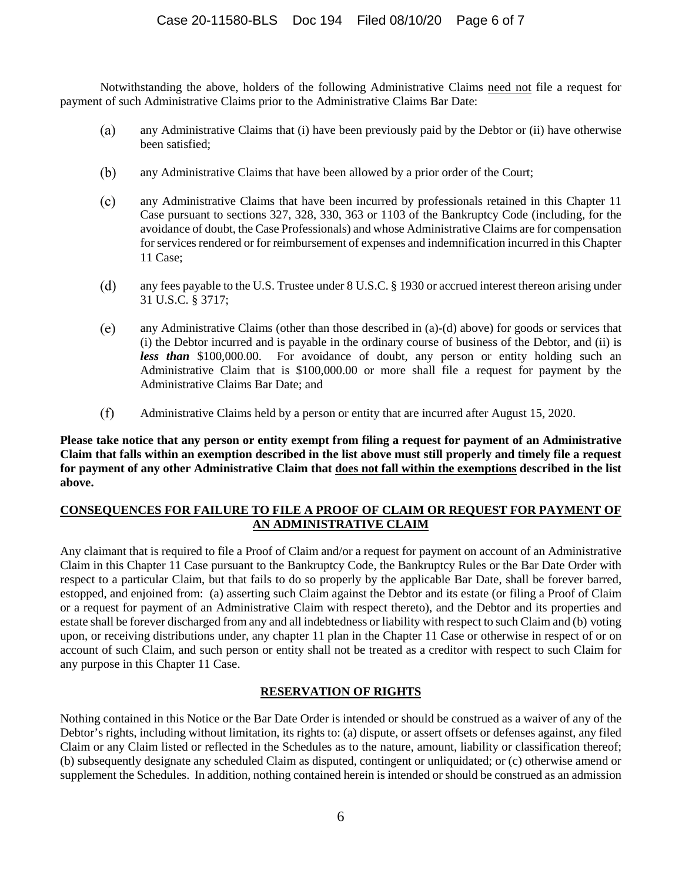Notwithstanding the above, holders of the following Administrative Claims need not file a request for payment of such Administrative Claims prior to the Administrative Claims Bar Date:

- $(a)$ any Administrative Claims that (i) have been previously paid by the Debtor or (ii) have otherwise been satisfied;
- $(b)$ any Administrative Claims that have been allowed by a prior order of the Court;
- $(c)$ any Administrative Claims that have been incurred by professionals retained in this Chapter 11 Case pursuant to sections 327, 328, 330, 363 or 1103 of the Bankruptcy Code (including, for the avoidance of doubt, the Case Professionals) and whose Administrative Claims are for compensation for services rendered or for reimbursement of expenses and indemnification incurred in this Chapter 11 Case;
- (d) any fees payable to the U.S. Trustee under 8 U.S.C. § 1930 or accrued interest thereon arising under 31 U.S.C. § 3717;
- $(e)$ any Administrative Claims (other than those described in (a)-(d) above) for goods or services that (i) the Debtor incurred and is payable in the ordinary course of business of the Debtor, and (ii) is *less than* \$100,000.00. For avoidance of doubt, any person or entity holding such an Administrative Claim that is \$100,000.00 or more shall file a request for payment by the Administrative Claims Bar Date; and
- $(f)$ Administrative Claims held by a person or entity that are incurred after August 15, 2020.

**Please take notice that any person or entity exempt from filing a request for payment of an Administrative Claim that falls within an exemption described in the list above must still properly and timely file a request for payment of any other Administrative Claim that does not fall within the exemptions described in the list above.** 

### **CONSEQUENCES FOR FAILURE TO FILE A PROOF OF CLAIM OR REQUEST FOR PAYMENT OF AN ADMINISTRATIVE CLAIM**

Any claimant that is required to file a Proof of Claim and/or a request for payment on account of an Administrative Claim in this Chapter 11 Case pursuant to the Bankruptcy Code, the Bankruptcy Rules or the Bar Date Order with respect to a particular Claim, but that fails to do so properly by the applicable Bar Date, shall be forever barred, estopped, and enjoined from: (a) asserting such Claim against the Debtor and its estate (or filing a Proof of Claim or a request for payment of an Administrative Claim with respect thereto), and the Debtor and its properties and estate shall be forever discharged from any and all indebtedness or liability with respect to such Claim and (b) voting upon, or receiving distributions under, any chapter 11 plan in the Chapter 11 Case or otherwise in respect of or on account of such Claim, and such person or entity shall not be treated as a creditor with respect to such Claim for any purpose in this Chapter 11 Case.

## **RESERVATION OF RIGHTS**

Nothing contained in this Notice or the Bar Date Order is intended or should be construed as a waiver of any of the Debtor's rights, including without limitation, its rights to: (a) dispute, or assert offsets or defenses against, any filed Claim or any Claim listed or reflected in the Schedules as to the nature, amount, liability or classification thereof; (b) subsequently designate any scheduled Claim as disputed, contingent or unliquidated; or (c) otherwise amend or supplement the Schedules. In addition, nothing contained herein is intended or should be construed as an admission